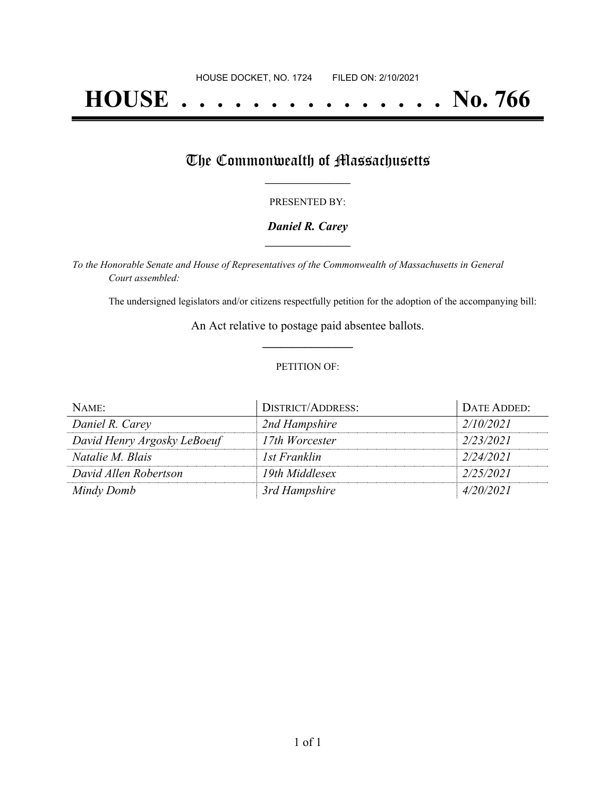# **HOUSE . . . . . . . . . . . . . . . No. 766**

# The Commonwealth of Massachusetts

### PRESENTED BY:

## *Daniel R. Carey* **\_\_\_\_\_\_\_\_\_\_\_\_\_\_\_\_\_**

*To the Honorable Senate and House of Representatives of the Commonwealth of Massachusetts in General Court assembled:*

The undersigned legislators and/or citizens respectfully petition for the adoption of the accompanying bill:

An Act relative to postage paid absentee ballots. **\_\_\_\_\_\_\_\_\_\_\_\_\_\_\_**

### PETITION OF:

| NAME:                       | <b>DISTRICT/ADDRESS:</b> | DATE ADDED: |
|-----------------------------|--------------------------|-------------|
| Daniel R. Carey             | 2nd Hampshire            | 2/10/2021   |
| David Henry Argosky LeBoeuf | 17th Worcester           | 2/23/2021   |
| <i>Natalie M. Blais</i>     | 1st Franklin             | 2/24/2021   |
| David Allen Robertson       | 19th Middlesex           | 2/25/2021   |
| Mindy Domb                  | 3rd Hampshire            | 4/20/2021   |